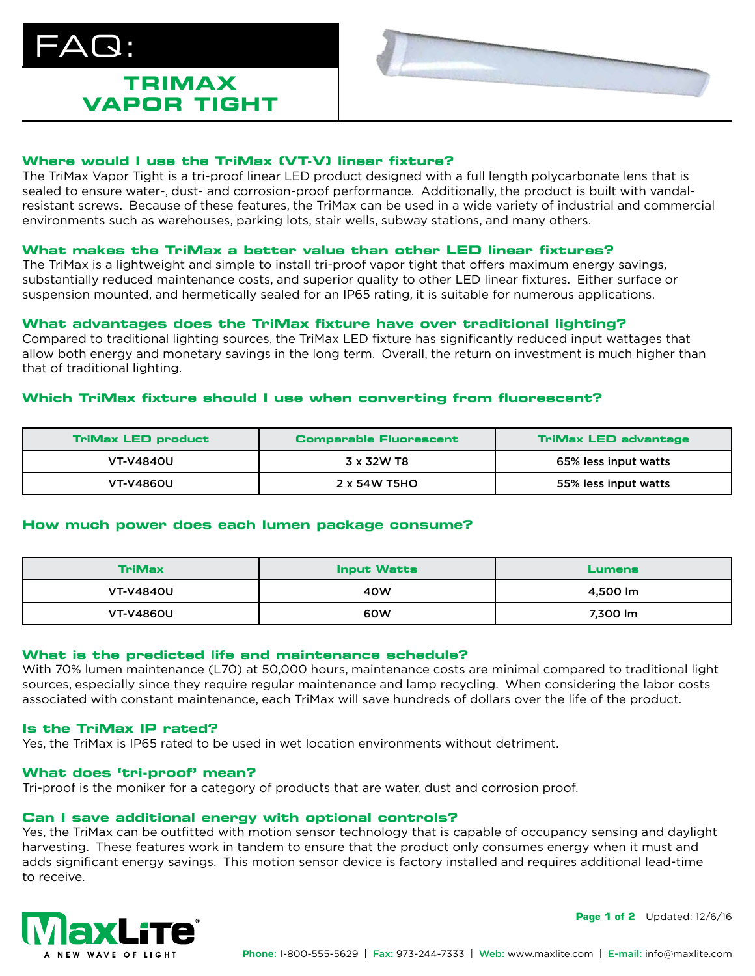# $\Delta$  $\bm{\Omega}$  :

# **TRIMAX VAPOR TIGHT**



# **Where would I use the TriMax (VT-V) linear fixture?**

The TriMax Vapor Tight is a tri-proof linear LED product designed with a full length polycarbonate lens that is sealed to ensure water-, dust- and corrosion-proof performance. Additionally, the product is built with vandalresistant screws. Because of these features, the TriMax can be used in a wide variety of industrial and commercial environments such as warehouses, parking lots, stair wells, subway stations, and many others.

# **What makes the TriMax a better value than other LED linear fixtures?**

The TriMax is a lightweight and simple to install tri-proof vapor tight that offers maximum energy savings, substantially reduced maintenance costs, and superior quality to other LED linear fixtures. Either surface or suspension mounted, and hermetically sealed for an IP65 rating, it is suitable for numerous applications.

# **What advantages does the TriMax fixture have over traditional lighting?**

Compared to traditional lighting sources, the TriMax LED fixture has significantly reduced input wattages that allow both energy and monetary savings in the long term. Overall, the return on investment is much higher than that of traditional lighting.

# **Which TriMax fixture should I use when converting from fluorescent?**

| <b>TriMax LED product</b> | <b>Comparable Fluorescent</b> | <b>TriMax LED advantage</b> |
|---------------------------|-------------------------------|-----------------------------|
| <b>VT-V4840U</b>          | 3 x 32W T8                    | 65% less input watts        |
| <b>VT-V4860U</b>          | 2 x 54W T5HO                  | 55% less input watts        |

# **How much power does each lumen package consume?**

| <b>TriMax</b>    | <b>Input Watts</b> | <b>Lumens</b> |
|------------------|--------------------|---------------|
| <b>VT-V4840U</b> | 40W                | 4,500 lm      |
| <b>VT-V4860U</b> | 60W                | 7.300 lm      |

# **What is the predicted life and maintenance schedule?**

With 70% lumen maintenance (L70) at 50,000 hours, maintenance costs are minimal compared to traditional light sources, especially since they require regular maintenance and lamp recycling. When considering the labor costs associated with constant maintenance, each TriMax will save hundreds of dollars over the life of the product.

# **Is the TriMax IP rated?**

Yes, the TriMax is IP65 rated to be used in wet location environments without detriment.

# **What does 'tri-proof' mean?**

Tri-proof is the moniker for a category of products that are water, dust and corrosion proof.

# **Can I save additional energy with optional controls?**

Yes, the TriMax can be outfitted with motion sensor technology that is capable of occupancy sensing and daylight harvesting. These features work in tandem to ensure that the product only consumes energy when it must and adds significant energy savings. This motion sensor device is factory installed and requires additional lead-time to receive.



**Page 1 of 2** Updated:  $12/6/16$